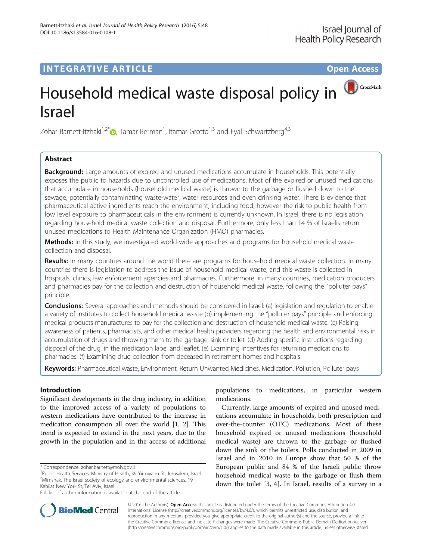## **INTEGRATIVE ARTICLE Example 2018 10 Access Open Access**

# CrossMark Household medical waste disposal policy in Israel

Zohar Barnett-Itzhaki<sup>1,2[\\*](http://orcid.org/0000-0001-9891-9397)</sup>®, Tamar Berman<sup>1</sup>, Itamar Grotto<sup>1,3</sup> and Eyal Schwartzberg<sup>4,3</sup>

## Abstract

**Background:** Large amounts of expired and unused medications accumulate in households. This potentially exposes the public to hazards due to uncontrolled use of medications. Most of the expired or unused medications that accumulate in households (household medical waste) is thrown to the garbage or flushed down to the sewage, potentially contaminating waste-water, water resources and even drinking water. There is evidence that pharmaceutical active ingredients reach the environment, including food, however the risk to public health from low level exposure to pharmaceuticals in the environment is currently unknown. In Israel, there is no legislation regarding household medical waste collection and disposal. Furthermore, only less than 14 % of Israelis return unused medications to Health Maintenance Organization (HMO) pharmacies.

Methods: In this study, we investigated world-wide approaches and programs for household medical waste collection and disposal.

Results: In many countries around the world there are programs for household medical waste collection. In many countries there is legislation to address the issue of household medical waste, and this waste is collected in hospitals, clinics, law enforcement agencies and pharmacies. Furthermore, in many countries, medication producers and pharmacies pay for the collection and destruction of household medical waste, following the "polluter pays" principle.

**Conclusions:** Several approaches and methods should be considered in Israel: (a) legislation and regulation to enable a variety of institutes to collect household medical waste (b) implementing the "polluter pays" principle and enforcing medical products manufactures to pay for the collection and destruction of household medical waste. (c) Raising awareness of patients, pharmacists, and other medical health providers regarding the health and environmental risks in accumulation of drugs and throwing them to the garbage, sink or toilet. (d) Adding specific instructions regarding disposal of the drug, in the medication label and leaflet. (e) Examining incentives for returning medications to pharmacies. (f) Examining drug collection from deceased in retirement homes and hospitals.

Keywords: Pharmaceutical waste, Environment, Return Unwanted Medicines, Medication, Pollution, Polluter pays

## Introduction

Significant developments in the drug industry, in addition to the improved access of a variety of populations to western medications have contributed to the increase in medication consumption all over the world [[1](#page-6-0), [2](#page-6-0)]. This trend is expected to extend in the next years, due to the growth in the population and in the access of additional

populations to medications, in particular western medications.

Currently, large amounts of expired and unused medications accumulate in households, both prescription and over-the-counter (OTC) medications. Most of these household expired or unused medications (household medical waste) are thrown to the garbage or flushed down the sink or the toilets. Polls conducted in 2009 in Israel and in 2010 in Europe show that 50 % of the European public and 84 % of the Israeli public throw household medical waste to the garbage or flush them down the toilet [[3, 4\]](#page-7-0). In Israel, results of a survey in a



© 2016 The Author(s). Open Access This article is distributed under the terms of the Creative Commons Attribution 4.0 International License [\(http://creativecommons.org/licenses/by/4.0/](http://creativecommons.org/licenses/by/4.0/)), which permits unrestricted use, distribution, and reproduction in any medium, provided you give appropriate credit to the original author(s) and the source, provide a link to the Creative Commons license, and indicate if changes were made. The Creative Commons Public Domain Dedication waiver [\(http://creativecommons.org/publicdomain/zero/1.0/](http://creativecommons.org/publicdomain/zero/1.0/)) applies to the data made available in this article, unless otherwise stated.

<sup>\*</sup> Correspondence: [zohar.barnett@moh.gov.il](mailto:zohar.barnett@moh.gov.il) <sup>1</sup>

<sup>&</sup>lt;sup>1</sup>Public Health Services, Ministry of Health, 39 Yirmiyahu St, Jerusalem, Israel <sup>2</sup>Mimshak, The Israel society of ecology and environmental sciences, 19 Kehilat New York St, Tel Aviv, Israel

Full list of author information is available at the end of the article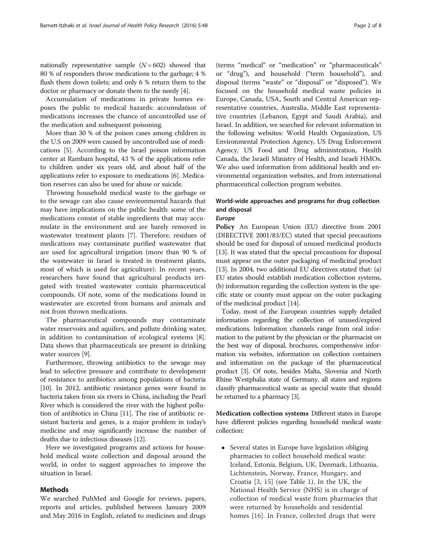nationally representative sample  $(N = 602)$  showed that 80 % of responders throw medications to the garbage; 4 % flush them down toilets; and only 6 % return them to the doctor or pharmacy or donate them to the needy [\[4](#page-7-0)].

Accumulation of medications in private homes exposes the public to medical hazards: accumulation of medications increases the chance of uncontrolled use of the medication and subsequent poisoning.

More than 30 % of the poison cases among children in the U.S on 2009 were caused by uncontrolled use of medications [\[5\]](#page-7-0). According to the Israel poison information center at Rambam hospital, 43 % of the applications refer to children under six years old, and about half of the applications refer to exposure to medications [\[6](#page-7-0)]. Medication reserves can also be used for abuse or suicide.

Throwing household medical waste to the garbage or to the sewage can also cause environmental hazards that may have implications on the public health: some of the medications consist of stable ingredients that may accumulate in the environment and are barely removed in wastewater treatment plants [\[7](#page-7-0)]. Therefore, residues of medications may contaminate purified wastewater that are used for agricultural irrigation (more than 90 % of the wastewater in Israel is treated in treatment plants, most of which is used for agriculture). In recent years, researchers have found that agricultural products irrigated with treated wastewater contain pharmaceutical compounds. Of note, some of the medications found in wastewater are excreted from humans and animals and not from thrown medications.

The pharmaceutical compounds may contaminate water reservoirs and aquifers, and pollute drinking water, in addition to contamination of ecological systems [\[8](#page-7-0)]. Data shows that pharmaceuticals are present in drinking water sources [[9\]](#page-7-0).

Furthermore, throwing antibiotics to the sewage may lead to selective pressure and contribute to development of resistance to antibiotics among populations of bacteria [[10](#page-7-0)]. In 2012, antibiotic resistance genes were found in bacteria taken from six rivers in China, including the Pearl River which is considered the river with the highest pollution of antibiotics in China [[11](#page-7-0)]. The rise of antibiotic resistant bacteria and genes, is a major problem in today's medicine and may significantly increase the number of deaths due to infectious diseases [\[12\]](#page-7-0).

Here we investigated programs and actions for household medical waste collection and disposal around the world, in order to suggest approaches to improve the situation in Israel.

## Methods

We searched PubMed and Google for reviews, papers, reports and articles, published between January 2009 and May 2016 in English, related to medicines and drugs

(terms "medical" or "medication" or "pharmaceuticals" or "drug"), and household ("term household"), and disposal (terms "waste" or "disposal" or "disposed"). We focused on the household medical waste policies in Europe, Canada, USA, South and Central American representative countries, Australia, Middle East representative countries (Lebanon, Egypt and Saudi Arabia), and Israel. In addition, we searched for relevant information in the following websites: World Health Organization, US Environmental Protection Agency, US Drug Enforcement Agency, US Food and Drug administration, Health Canada, the Israeli Ministry of Health, and Israeli HMOs. We also used information from additional health and environmental organization websites, and from international pharmaceutical collection program websites.

## World-wide approaches and programs for drug collection and disposal

#### Europe

Policy An European Union (EU) directive from 2001 (DIRECTIVE 2001/83/EC) stated that special precautions should be used for disposal of unused medicinal products [[13](#page-7-0)]. It was stated that the special precautions for disposal must appear on the outer packaging of medicinal product [[13](#page-7-0)]. In 2004, two additional EU directives stated that: (a) EU states should establish medication collection systems, (b) information regarding the collection system in the specific state or county must appear on the outer packaging of the medicinal product [\[14\]](#page-7-0).

Today, most of the European countries supply detailed information regarding the collection of unused/expired medications. Information channels range from oral information to the patient by the physician or the pharmacist on the best way of disposal, brochures, comprehensive information via websites, information on collection containers and information on the package of the pharmaceutical product [\[3\]](#page-7-0). Of note, besides Malta, Slovenia and North Rhine Westphalia state of Germany, all states and regions classify pharmaceutical waste as special waste that should be returned to a pharmacy [\[3](#page-7-0)].

Medication collection systems Different states in Europe have different policies regarding household medical waste collection:

 Several states in Europe have legislation obliging pharmacies to collect household medical waste: Iceland, Estonia, Belgium, UK, Denmark, Lithuania, Lichtenstein, Norway, France, Hungary, and Croatia [[3,](#page-7-0) [15\]](#page-7-0) (see Table [1](#page-2-0)). In the UK, the National Health Service (NHS) is in charge of collection of medical waste from pharmacies that were returned by households and residential homes [[16](#page-7-0)]. In France, collected drugs that were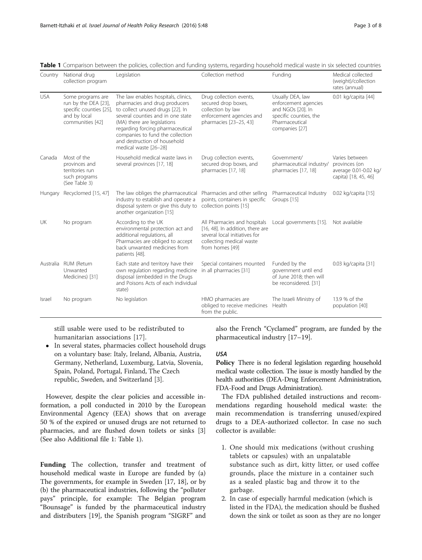| Country    | National drug<br>collection program                                                                      | Legislation                                                                                                                                                                                                                                                                                                   | Collection method                                                                                                                                | Funding                                                                                                                     | Medical collected<br>(weight)/collection<br>rates (annual)                       |
|------------|----------------------------------------------------------------------------------------------------------|---------------------------------------------------------------------------------------------------------------------------------------------------------------------------------------------------------------------------------------------------------------------------------------------------------------|--------------------------------------------------------------------------------------------------------------------------------------------------|-----------------------------------------------------------------------------------------------------------------------------|----------------------------------------------------------------------------------|
| <b>USA</b> | Some programs are<br>run by the DEA [23],<br>specific counties [25],<br>and by local<br>communities [42] | The law enables hospitals, clinics,<br>pharmacies and drug producers<br>to collect unused drugs [22]. In<br>several counties and in one state<br>(MA) there are legislations<br>regarding forcing pharmaceutical<br>companies to fund the collection<br>and destruction of household<br>medical waste [26-28] | Drug collection events,<br>secured drop boxes,<br>collection by law<br>enforcement agencies and<br>pharmacies [23-25, 43]                        | Usually DEA, law<br>enforcement agencies<br>and NGOs [20]. In<br>specific counties, the<br>Pharmaceutical<br>companies [27] | 0.01 kg/capita [44]                                                              |
| Canada     | Most of the<br>provinces and<br>territories run<br>such programs<br>(See Table 3)                        | Household medical waste laws in<br>several provinces [17, 18]                                                                                                                                                                                                                                                 | Drug collection events,<br>secured drop boxes, and<br>pharmacies [17, 18]                                                                        | Government/<br>pharmaceutical industry/<br>pharmacies [17, 18]                                                              | Varies between<br>provinces (on<br>average 0.01-0.02 kg/<br>capita) [18, 45, 46] |
| Hungary    | Recyclomed [15, 47]                                                                                      | The law obliges the pharmaceutical<br>industry to establish and operate a<br>disposal system or give this duty to<br>another organization [15]                                                                                                                                                                | Pharmacies and other selling<br>points, containers in specific<br>collection points [15]                                                         | Pharmaceutical Industry<br>Groups [15]                                                                                      | 0.02 kg/capita [15]                                                              |
| <b>UK</b>  | No program                                                                                               | According to the UK<br>environmental protection act and<br>additional regulations, all<br>Pharmacies are obliged to accept<br>back unwanted medicines from<br>patients [48].                                                                                                                                  | All Pharmacies and hospitals<br>[16, 48]. In addition, there are<br>several local initiatives for<br>collecting medical waste<br>from homes [49] | Local governments [15].                                                                                                     | Not available                                                                    |
| Australia  | <b>RUM (Return</b><br>Unwanted<br>Medicines) [31]                                                        | Each state and territory have their<br>own regulation regarding medicine<br>disposal (embedded in the Drugs<br>and Poisons Acts of each individual<br>state)                                                                                                                                                  | Special containers mounted<br>in all pharmacies [31]                                                                                             | Funded by the<br>government until end<br>of June 2018; then will<br>be reconsidered. [31]                                   | 0.03 kg/capita [31]                                                              |
| Israel     | No program                                                                                               | No legislation                                                                                                                                                                                                                                                                                                | HMO pharmacies are<br>obliged to receive medicines<br>from the public.                                                                           | The Israeli Ministry of<br>Health                                                                                           | 13.9 % of the<br>population [40]                                                 |

<span id="page-2-0"></span>Table 1 Comparison between the policies, collection and funding systems, regarding household medical waste in six selected countries

still usable were used to be redistributed to humanitarian associations [[17](#page-7-0)].

• In several states, pharmacies collect household drugs on a voluntary base: Italy, Ireland, Albania, Austria, Germany, Netherland, Luxemburg, Latvia, Slovenia, Spain, Poland, Portugal, Finland, The Czech republic, Sweden, and Switzerland [[3\]](#page-7-0).

However, despite the clear policies and accessible information, a poll conducted in 2010 by the European Environmental Agency (EEA) shows that on average 50 % of the expired or unused drugs are not returned to pharmacies, and are flushed down toilets or sinks [\[3](#page-7-0)] (See also Additional file [1:](#page-6-0) Table 1).

Funding The collection, transfer and treatment of household medical waste in Europe are funded by (a) The governments, for example in Sweden [\[17](#page-7-0), [18](#page-7-0)], or by (b) the pharmaceutical industries, following the "polluter pays" principle, for example: The Belgian program "Bounsage" is funded by the pharmaceutical industry and distributers [[19](#page-7-0)], the Spanish program "SIGRF" and

also the French "Cyclamed" program, are funded by the pharmaceutical industry [[17](#page-7-0)–[19](#page-7-0)].

#### USA

Policy There is no federal legislation regarding household medical waste collection. The issue is mostly handled by the health authorities (DEA-Drug Enforcement Administration, FDA-Food and Drugs Administration).

The FDA published detailed instructions and recommendations regarding household medical waste: the main recommendation is transferring unused/expired drugs to a DEA-authorized collector. In case no such collector is available:

- 1. One should mix medications (without crushing tablets or capsules) with an unpalatable substance such as dirt, kitty litter, or used coffee grounds, place the mixture in a container such as a sealed plastic bag and throw it to the garbage.
- 2. In case of especially harmful medication (which is listed in the FDA), the medication should be flushed down the sink or toilet as soon as they are no longer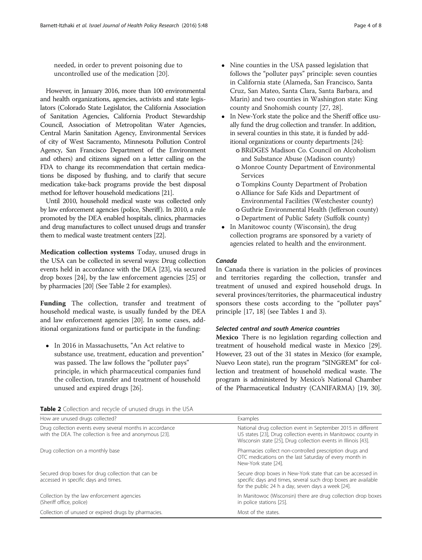needed, in order to prevent poisoning due to uncontrolled use of the medication [[20\]](#page-7-0).

However, in January 2016, more than 100 environmental and health organizations, agencies, activists and state legislators (Colorado State Legislator, the California Association of Sanitation Agencies, California Product Stewardship Council, Association of Metropolitan Water Agencies, Central Marin Sanitation Agency, Environmental Services of city of West Sacramento, Minnesota Pollution Control Agency, San Francisco Department of the Environment and others) and citizens signed on a letter calling on the FDA to change its recommendation that certain medications be disposed by flushing, and to clarify that secure medication take-back programs provide the best disposal method for leftover household medications [\[21](#page-7-0)].

Until 2010, household medical waste was collected only by law enforcement agencies (police, Sheriff). In 2010, a rule promoted by the DEA enabled hospitals, clinics, pharmacies and drug manufactures to collect unused drugs and transfer them to medical waste treatment centers [\[22](#page-7-0)].

Medication collection systems Today, unused drugs in the USA can be collected in several ways: Drug collection events held in accordance with the DEA [\[23\]](#page-7-0), via secured drop boxes [\[24\]](#page-7-0), by the law enforcement agencies [[25](#page-7-0)] or by pharmacies [[20](#page-7-0)] (See Table 2 for examples).

Funding The collection, transfer and treatment of household medical waste, is usually funded by the DEA and law enforcement agencies [[20\]](#page-7-0). In some cases, additional organizations fund or participate in the funding:

• In 2016 in Massachusetts, "An Act relative to substance use, treatment, education and prevention" was passed. The law follows the "polluter pays" principle, in which pharmaceutical companies fund the collection, transfer and treatment of household unused and expired drugs [\[26\]](#page-7-0).

- Nine counties in the USA passed legislation that follows the "polluter pays" principle: seven counties in California state (Alameda, San Francisco, Santa Cruz, San Mateo, Santa Clara, Santa Barbara, and Marin) and two counties in Washington state: King county and Snohomish county [[27](#page-7-0), [28\]](#page-7-0).
- In New-York state the police and the Sheriff office usually fund the drug collection and transfer. In addition, in several counties in this state, it is funded by additional organizations or county departments [\[24](#page-7-0)]:
	- o BRiDGES Madison Co. Council on Alcoholism and Substance Abuse (Madison county)
	- o Monroe County Department of Environmental Services
	- o Tompkins County Department of Probation
	- o Alliance for Safe Kids and Department of Environmental Facilities (Westchester county) o Guthrie Environmental Health (Jefferson county) o Department of Public Safety (Suffolk county)
- In Manitowoc county (Wisconsin), the drug collection programs are sponsored by a variety of agencies related to health and the environment.

#### Canada

In Canada there is variation in the policies of provinces and territories regarding the collection, transfer and treatment of unused and expired household drugs. In several provinces/territories, the pharmaceutical industry sponsors these costs according to the "polluter pays" principle [[17, 18\]](#page-7-0) (see Tables [1](#page-2-0) and [3](#page-4-0)).

## Selected central and south America countries

Mexico There is no legislation regarding collection and treatment of household medical waste in Mexico [[29](#page-7-0)]. However, 23 out of the 31 states in Mexico (for example, Nuevo Leon state), run the program "SINGREM" for collection and treatment of household medical waste. The program is administered by Mexico's National Chamber of the Pharmaceutical Industry (CANIFARMA) [[19](#page-7-0), [30](#page-7-0)].

| How are unused drugs collected?                                                                                       | Examples                                                                                                                                                                                         |
|-----------------------------------------------------------------------------------------------------------------------|--------------------------------------------------------------------------------------------------------------------------------------------------------------------------------------------------|
| Drug collection events every several months in accordance<br>with the DEA. The collection is free and anonymous [23]. | National drug collection event in September 2015 in different<br>US states [23], Drug collection events in Manitowoc county in<br>Wisconsin state [25], Drug collection events in Illinois [43]. |
| Drug collection on a monthly base                                                                                     | Pharmacies collect non-controlled prescription drugs and<br>OTC medications on the last Saturday of every month in<br>New-York state [24].                                                       |
| Secured drop boxes for drug collection that can be<br>accessed in specific days and times.                            | Secure drop boxes in New-York state that can be accessed in<br>specific days and times, several such drop boxes are available<br>for the public 24 h a day, seven days a week [24].              |
| Collection by the law enforcement agencies<br>(Sheriff office, police)                                                | In Manitowoc (Wisconsin) there are drug collection drop boxes<br>in police stations [25].                                                                                                        |
| Collection of unused or expired drugs by pharmacies.                                                                  | Most of the states.                                                                                                                                                                              |

Table 2 Collection and recycle of unused drugs in the USA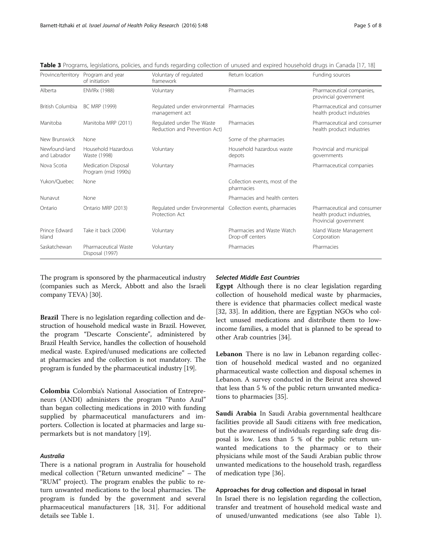| Province/territory            | Program and year<br>of initiation          | Voluntary of regulated<br>framework                        | Return location                                | Funding sources                                                                    |
|-------------------------------|--------------------------------------------|------------------------------------------------------------|------------------------------------------------|------------------------------------------------------------------------------------|
| Alberta                       | <b>ENVIRx (1988)</b>                       | Voluntary                                                  | Pharmacies                                     | Pharmaceutical companies,<br>provincial government                                 |
| British Columbia              | BC MRP (1999)                              | Regulated under environmental Pharmacies<br>management act |                                                | Pharmaceutical and consumer<br>health product industries                           |
| Manitoba                      | Manitoba MRP (2011)                        | Regulated under The Waste<br>Reduction and Prevention Act) | Pharmacies                                     | Pharmaceutical and consumer<br>health product industries                           |
| New Brunswick                 | None                                       |                                                            | Some of the pharmacies                         |                                                                                    |
| Newfound-land<br>and Labrador | Household Hazardous<br>Waste (1998)        | Voluntary                                                  | Household hazardous waste<br>depots            | Provincial and municipal<br>governments                                            |
| Nova Scotia                   | Medication Disposal<br>Program (mid 1990s) | Voluntary                                                  | Pharmacies                                     | Pharmaceutical companies                                                           |
| Yukon/Quebec                  | None                                       |                                                            | Collection events, most of the<br>pharmacies   |                                                                                    |
| Nunavut                       | None                                       |                                                            | Pharmacies and health centers                  |                                                                                    |
| Ontario                       | Ontario MRP (2013)                         | Regulated under Environmental<br>Protection Act            | Collection events, pharmacies                  | Pharmaceutical and consumer<br>health product industries,<br>Provincial government |
| Prince Edward<br>Island       | Take it back (2004)                        | Voluntary                                                  | Pharmacies and Waste Watch<br>Drop-off centers | Island Waste Management<br>Corporation                                             |
| Saskatchewan                  | Pharmaceutical Waste<br>Disposal (1997)    | Voluntary                                                  | Pharmacies                                     | Pharmacies                                                                         |

<span id="page-4-0"></span>Table 3 Programs, legislations, policies, and funds regarding collection of unused and expired household drugs in Canada [[17, 18](#page-7-0)]

The program is sponsored by the pharmaceutical industry (companies such as Merck, Abbott and also the Israeli company TEVA) [\[30\]](#page-7-0).

Brazil There is no legislation regarding collection and destruction of household medical waste in Brazil. However, the program "Descarte Consciente", administered by Brazil Health Service, handles the collection of household medical waste. Expired/unused medications are collected at pharmacies and the collection is not mandatory. The program is funded by the pharmaceutical industry [[19](#page-7-0)].

Colombia Colombia's National Association of Entrepreneurs (ANDI) administers the program "Punto Azul" than began collecting medications in 2010 with funding supplied by pharmaceutical manufacturers and importers. Collection is located at pharmacies and large supermarkets but is not mandatory [\[19\]](#page-7-0).

## Australia

There is a national program in Australia for household medical collection ("Return unwanted medicine" – The "RUM" project). The program enables the public to return unwanted medications to the local pharmacies. The program is funded by the government and several pharmaceutical manufacturers [\[18](#page-7-0), [31\]](#page-7-0). For additional details see Table [1.](#page-2-0)

#### Selected Middle East Countries

Egypt Although there is no clear legislation regarding collection of household medical waste by pharmacies, there is evidence that pharmacies collect medical waste [[32, 33](#page-7-0)]. In addition, there are Egyptian NGOs who collect unused medications and distribute them to lowincome families, a model that is planned to be spread to other Arab countries [\[34](#page-7-0)].

Lebanon There is no law in Lebanon regarding collection of household medical wasted and no organized pharmaceutical waste collection and disposal schemes in Lebanon. A survey conducted in the Beirut area showed that less than 5 % of the public return unwanted medications to pharmacies [\[35](#page-7-0)].

Saudi Arabia In Saudi Arabia governmental healthcare facilities provide all Saudi citizens with free medication, but the awareness of individuals regarding safe drug disposal is low. Less than 5 % of the public return unwanted medications to the pharmacy or to their physicians while most of the Saudi Arabian public throw unwanted medications to the household trash, regardless of medication type [\[36](#page-7-0)].

## Approaches for drug collection and disposal in Israel

In Israel there is no legislation regarding the collection, transfer and treatment of household medical waste and of unused/unwanted medications (see also Table [1](#page-2-0)).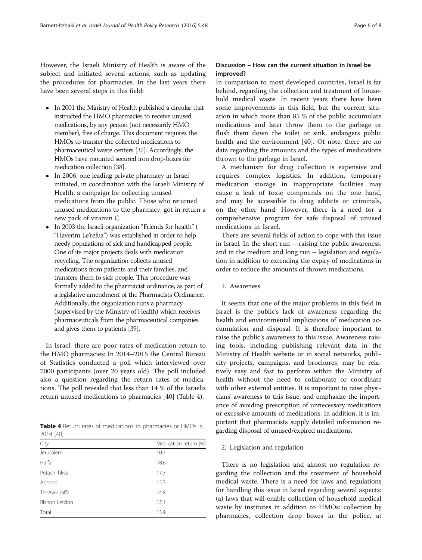However, the Israeli Ministry of Health is aware of the subject and initiated several actions, such as updating the procedures for pharmacies. In the last years there have been several steps in this field:

- In 2001 the Ministry of Health published a circular that instructed the HMO pharmacies to receive unused medications, by any person (not necessarily HMO member), free of charge. This document requires the HMOs to transfer the collected medications to pharmaceutical waste centers [\[37\]](#page-7-0). Accordingly, the HMOs have mounted secured iron drop-boxes for medication collection [[38\]](#page-7-0).
- In 2006, one leading private pharmacy in Israel initiated, in coordination with the Israeli Ministry of Health, a campaign for collecting unused medications from the public. Those who returned unused medications to the pharmacy, got in return a new pack of vitamin C.
- In 2003 the Israeli organization "Friends for health" ( "Haverim Le'refua") was established in order to help needy populations of sick and handicapped people. One of its major projects deals with medication recycling. The organization collects unused medications from patients and their families, and transfers them to sick people. This procedure was formally added to the pharmacist ordinance, as part of a legislative amendment of the Pharmacists Ordinance. Additionally, the organization runs a pharmacy (supervised by the Ministry of Health) which receives pharmaceuticals from the pharmaceutical companies and gives them to patients [[39\]](#page-7-0).

In Israel, there are poor rates of medication return to the HMO pharmacies: In 2014–2015 the Central Bureau of Statistics conducted a poll which interviewed over 7000 participants (over 20 years old). The poll included also a question regarding the return rates of medications. The poll revealed that less than 14 % of the Israelis return unused medications to pharmacies [\[40](#page-7-0)] (Table 4).

| <b>Table 4</b> Return rates of medications to pharmacies or HMOs in |  |  |
|---------------------------------------------------------------------|--|--|
| 2014 [40]                                                           |  |  |

| City           | Medication return (%) |
|----------------|-----------------------|
| Jerusalem      | 10.7                  |
| Haifa          | 18.6                  |
| Petach-Tikva   | 17.7                  |
| Ashdod         | 15.3                  |
| Tel-Aviv Jaffa | 14.8                  |
| Rishon Letzion | 12.1                  |
| Total          | 13.9                  |

## Discussion – How can the current situation in Israel be improved?

In comparison to most developed countries, Israel is far behind, regarding the collection and treatment of household medical waste. In recent years there have been some improvements in this field, but the current situation in which more than 85 % of the public accumulate medications and later throw them to the garbage or flush them down the toilet or sink, endangers public health and the environment [[40\]](#page-7-0). Of note, there are no data regarding the amounts and the types of medications thrown to the garbage in Israel.

A mechanism for drug collection is expensive and requires complex logistics. In addition, temporary medication storage in inappropriate facilities may cause a leak of toxic compounds on the one hand, and may be accessible to drug addicts or criminals, on the other hand. However, there is a need for a comprehensive program for safe disposal of unused medications in Israel.

There are several fields of action to cope with this issue in Israel. In the short run – raising the public awareness, and in the medium and long run – legislation and regulation in addition to extending the expiry of medications in order to reduce the amounts of thrown medications.

1. Awareness

It seems that one of the major problems in this field in Israel is the public's lack of awareness regarding the health and environmental implications of medication accumulation and disposal. It is therefore important to raise the public's awareness to this issue. Awareness raising tools, including publishing relevant data in the Ministry of Health website or in social networks, publicity projects, campaigns, and brochures, may be relatively easy and fast to perform within the Ministry of health without the need to collaborate or coordinate with other external entities. It is important to raise physicians' awareness to this issue, and emphasize the importance of avoiding prescription of unnecessary medications or excessive amounts of medications. In addition, it is important that pharmacists supply detailed information regarding disposal of unused/expired medications.

## 2. Legislation and regulation

There is no legislation and almost no regulation regarding the collection and the treatment of household medical waste. There is a need for laws and regulations for handling this issue in Israel regarding several aspects: (a) laws that will enable collection of household medical waste by institutes in addition to HMOs: collection by pharmacies, collection drop boxes in the police, at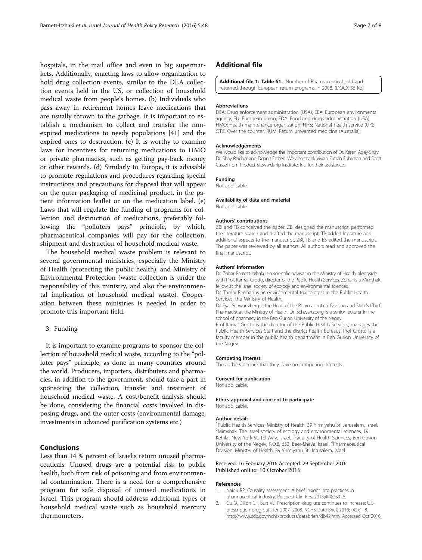<span id="page-6-0"></span>hospitals, in the mail office and even in big supermarkets. Additionally, enacting laws to allow organization to hold drug collection events, similar to the DEA collection events held in the US, or collection of household medical waste from people's homes. (b) Individuals who pass away in retirement homes leave medications that are usually thrown to the garbage. It is important to establish a mechanism to collect and transfer the nonexpired medications to needy populations [[41\]](#page-7-0) and the expired ones to destruction. (c) It is worthy to examine laws for incentives for returning medications to HMO or private pharmacies, such as getting pay-back money or other rewards. (d) Similarly to Europe, it is advisable to promote regulations and procedures regarding special instructions and precautions for disposal that will appear on the outer packaging of medicinal product, in the patient information leaflet or on the medication label. (e) Laws that will regulate the funding of programs for collection and destruction of medications, preferably following the "polluters pays" principle, by which, pharmaceutical companies will pay for the collection, shipment and destruction of household medical waste.

The household medical waste problem is relevant to several governmental ministries, especially the Ministry of Health (protecting the public health), and Ministry of Environmental Protection (waste collection is under the responsibility of this ministry, and also the environmental implication of household medical waste). Cooperation between these ministries is needed in order to promote this important field.

## 3. Funding

It is important to examine programs to sponsor the collection of household medical waste, according to the "polluter pays" principle, as done in many countries around the world. Producers, importers, distributers and pharmacies, in addition to the government, should take a part in sponsoring the collection, transfer and treatment of household medical waste. A cost/benefit analysis should be done, considering the financial costs involved in disposing drugs, and the outer costs (environmental damage, investments in advanced purification systems etc.)

## Conclusions

Less than 14 % percent of Israelis return unused pharmaceuticals. Unused drugs are a potential risk to public health, both from risk of poisoning and from environmental contamination. There is a need for a comprehensive program for safe disposal of unused medications in Israel. This program should address additional types of household medical waste such as household mercury thermometers.

## Additional file

[Additional file 1: Table S1.](dx.doi.org/10.1186/s13584-016-0108-1) Number of Pharmaceutical sold and returned through European return programs in 2008. (DOCX 35 kb)

#### Abbreviations

DEA: Drug enforcement administration (USA); EEA: European environmental agency; EU: European union; FDA: Food and drugs administration (USA); HMO: Health maintenance organization; NHS: National health service (UK); OTC: Over the counter; RUM: Return unwanted medicine (Australia)

#### Acknowledgements

We would like to acknowledge the important contribution of Dr. Keren Agay-Shay, Dr. Shay Reicher and Dganit Eichen. We also thank Vivian Futran Fuhrman and Scott Cassel from Product Stewardship Institute, Inc. for their assistance.

#### Funding

Not applicable.

#### Availability of data and material Not applicable.

#### Authors' contributions

ZBI and TB conceived the paper. ZBI designed the manuscript, performed the literature search and drafted the manuscript. TB added literature and additional aspects to the manuscript. ZBI, TB and ES edited the manuscript. The paper was reviewed by all authors. All authors read and approved the final manuscript.

#### Authors' information

Dr. Zohar Barnett-Itzhaki is a scientific advisor in the Ministry of Health, alongside with Prof. Itamar Grotto, director of the Public Health Services. Zohar is a Mimshak fellow at the Israel society of ecology and environmental sciences. Dr. Tamar Berman is an environmental toxicologist in the Public Health Services, the Ministry of Health. Dr. Eyal Schwartzberg is the Head of the Pharmaceutical Division and State's Chief Pharmacist at the Ministry of Health. Dr. Schwartzberg is a senior lecturer in the school of pharmacy in the Ben Gurion University of the Negev. Prof Itamar Grotto is the director of the Public Health Services, manages the

Public Health Services Staff and the district health bureaus. Prof Grotto is a faculty member in the public health department in Ben Gurion University of the Negev.

#### Competing interest

The authors declare that they have no competing interests.

#### Consent for publication

Not applicable.

#### Ethics approval and consent to participate Not applicable.

#### Author details

<sup>1</sup>Public Health Services, Ministry of Health, 39 Yirmiyahu St, Jerusalem, Israel. <sup>2</sup>Mimshak, The Israel society of ecology and environmental sciences, 19 Kehilat New York St, Tel Aviv, Israel. <sup>3</sup> Faculty of Health Sciences, Ben-Gurion University of the Negev, P.O.B. 653, Beer-Sheva, Israel. <sup>4</sup>Pharmaceutical Division, Ministry of Health, 39 Yirmiyahu St, Jerusalem, Israel.

#### Received: 16 February 2016 Accepted: 29 September 2016 Published online: 10 October 2016

#### References

- 1. Naidu RP. Causality assessment: A brief insight into practices in pharmaceutical industry. Perspect Clin Res. 2013;4(4):233–6.
- 2. Gu Q, Dillon CF, Burt VL. Prescription drug use continues to increase: U.S. prescription drug data for 2007–2008. NCHS Data Brief. 2010; (42):1–8. [http://www.cdc.gov/nchs/products/databriefs/db42.htm.](http://www.cdc.gov/nchs/products/databriefs/db42.htm) Accessed Oct 2016.